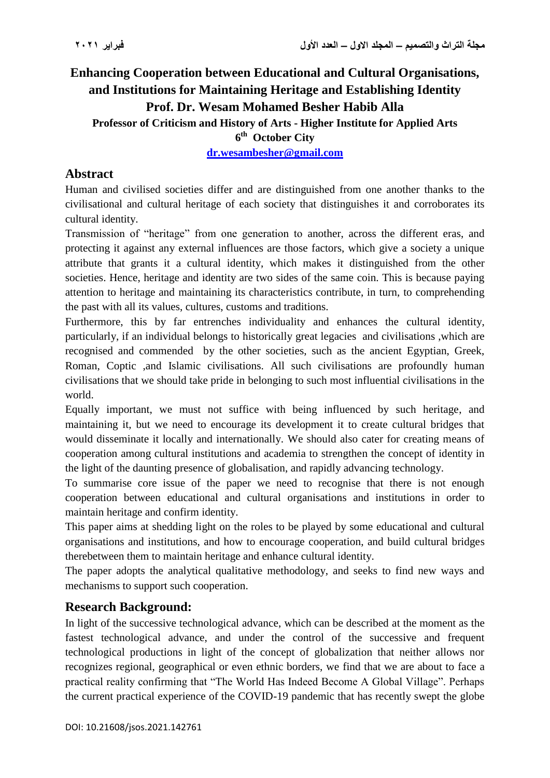# **Enhancing Cooperation between Educational and Cultural Organisations, and Institutions for Maintaining Heritage and Establishing Identity Prof. Dr. Wesam Mohamed Besher Habib Alla Professor of Criticism and History of Arts - Higher Institute for Applied Arts 6 th October City**

**[dr.wesambesher@gmail.com](mailto:dr.wesambesher@gmail.com)** 

### **Abstract**

Human and civilised societies differ and are distinguished from one another thanks to the civilisational and cultural heritage of each society that distinguishes it and corroborates its cultural identity.

Transmission of "heritage" from one generation to another, across the different eras, and protecting it against any external influences are those factors, which give a society a unique attribute that grants it a cultural identity, which makes it distinguished from the other societies. Hence, heritage and identity are two sides of the same coin. This is because paying attention to heritage and maintaining its characteristics contribute, in turn, to comprehending the past with all its values, cultures, customs and traditions.

Furthermore, this by far entrenches individuality and enhances the cultural identity, particularly, if an individual belongs to historically great legacies and civilisations ,which are recognised and commended by the other societies, such as the ancient Egyptian, Greek, Roman, Coptic ,and Islamic civilisations. All such civilisations are profoundly human civilisations that we should take pride in belonging to such most influential civilisations in the world.

Equally important, we must not suffice with being influenced by such heritage, and maintaining it, but we need to encourage its development it to create cultural bridges that would disseminate it locally and internationally. We should also cater for creating means of cooperation among cultural institutions and academia to strengthen the concept of identity in the light of the daunting presence of globalisation, and rapidly advancing technology.

To summarise core issue of the paper we need to recognise that there is not enough cooperation between educational and cultural organisations and institutions in order to maintain heritage and confirm identity.

This paper aims at shedding light on the roles to be played by some educational and cultural organisations and institutions, and how to encourage cooperation, and build cultural bridges therebetween them to maintain heritage and enhance cultural identity.

The paper adopts the analytical qualitative methodology, and seeks to find new ways and mechanisms to support such cooperation.

### **Research Background:**

In light of the successive technological advance, which can be described at the moment as the fastest technological advance, and under the control of the successive and frequent technological productions in light of the concept of globalization that neither allows nor recognizes regional, geographical or even ethnic borders, we find that we are about to face a practical reality confirming that "The World Has Indeed Become A Global Village". Perhaps the current practical experience of the COVID-19 pandemic that has recently swept the globe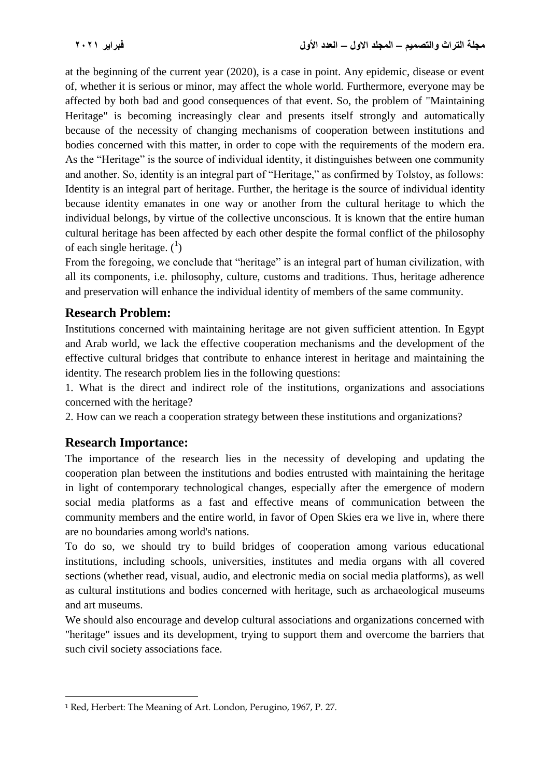at the beginning of the current year (2020), is a case in point. Any epidemic, disease or event of, whether it is serious or minor, may affect the whole world. Furthermore, everyone may be affected by both bad and good consequences of that event. So, the problem of "Maintaining Heritage" is becoming increasingly clear and presents itself strongly and automatically because of the necessity of changing mechanisms of cooperation between institutions and bodies concerned with this matter, in order to cope with the requirements of the modern era. As the "Heritage" is the source of individual identity, it distinguishes between one community and another. So, identity is an integral part of "Heritage," as confirmed by Tolstoy, as follows: Identity is an integral part of heritage. Further, the heritage is the source of individual identity because identity emanates in one way or another from the cultural heritage to which the individual belongs, by virtue of the collective unconscious. It is known that the entire human cultural heritage has been affected by each other despite the formal conflict of the philosophy of each single heritage.  $(^{1})$ 

From the foregoing, we conclude that "heritage" is an integral part of human civilization, with all its components, i.e. philosophy, culture, customs and traditions. Thus, heritage adherence and preservation will enhance the individual identity of members of the same community.

### **Research Problem:**

Institutions concerned with maintaining heritage are not given sufficient attention. In Egypt and Arab world, we lack the effective cooperation mechanisms and the development of the effective cultural bridges that contribute to enhance interest in heritage and maintaining the identity. The research problem lies in the following questions:

1. What is the direct and indirect role of the institutions, organizations and associations concerned with the heritage?

2. How can we reach a cooperation strategy between these institutions and organizations?

# **Research Importance:**

The importance of the research lies in the necessity of developing and updating the cooperation plan between the institutions and bodies entrusted with maintaining the heritage in light of contemporary technological changes, especially after the emergence of modern social media platforms as a fast and effective means of communication between the community members and the entire world, in favor of Open Skies era we live in, where there are no boundaries among world's nations.

To do so, we should try to build bridges of cooperation among various educational institutions, including schools, universities, institutes and media organs with all covered sections (whether read, visual, audio, and electronic media on social media platforms), as well as cultural institutions and bodies concerned with heritage, such as archaeological museums and art museums.

We should also encourage and develop cultural associations and organizations concerned with "heritage" issues and its development, trying to support them and overcome the barriers that such civil society associations face.

 $\overline{a}$ <sup>1</sup> Red, Herbert: The Meaning of Art. London, Perugino, 1967, P. 27.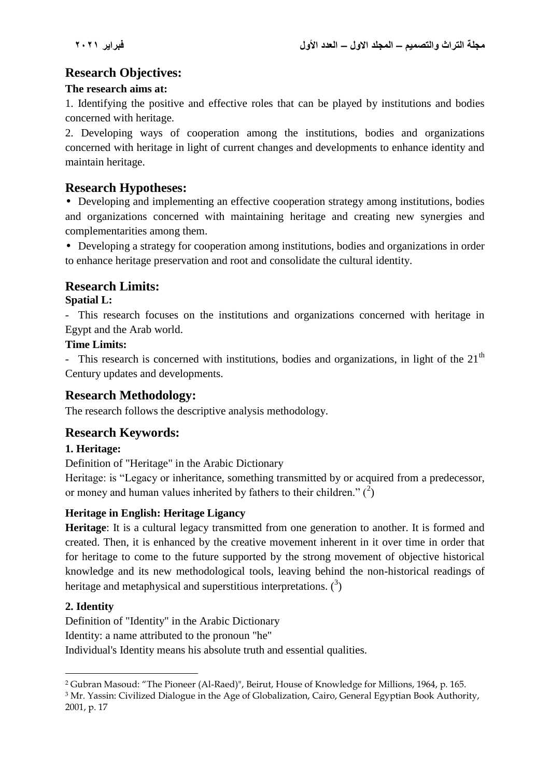# **Research Objectives:**

#### **The research aims at:**

1. Identifying the positive and effective roles that can be played by institutions and bodies concerned with heritage.

2. Developing ways of cooperation among the institutions, bodies and organizations concerned with heritage in light of current changes and developments to enhance identity and maintain heritage.

### **Research Hypotheses:**

• Developing and implementing an effective cooperation strategy among institutions, bodies and organizations concerned with maintaining heritage and creating new synergies and complementarities among them.

• Developing a strategy for cooperation among institutions, bodies and organizations in order to enhance heritage preservation and root and consolidate the cultural identity.

### **Research Limits:**

#### **Spatial L:**

- This research focuses on the institutions and organizations concerned with heritage in Egypt and the Arab world.

#### **Time Limits:**

- This research is concerned with institutions, bodies and organizations, in light of the  $21<sup>th</sup>$ Century updates and developments.

## **Research Methodology:**

The research follows the descriptive analysis methodology.

# **Research Keywords:**

#### **1. Heritage:**

Definition of "Heritage" in the Arabic Dictionary

Heritage: is "Legacy or inheritance, something transmitted by or acquired from a predecessor, or money and human values inherited by fathers to their children."  $(^2)$ 

#### **Heritage in English: Heritage Ligancy**

**Heritage**: It is a cultural legacy transmitted from one generation to another. It is formed and created. Then, it is enhanced by the creative movement inherent in it over time in order that for heritage to come to the future supported by the strong movement of objective historical knowledge and its new methodological tools, leaving behind the non-historical readings of heritage and metaphysical and superstitious interpretations.  $(3)$ 

#### **2. Identity**

Definition of "Identity" in the Arabic Dictionary Identity: a name attributed to the pronoun "he" Individual's Identity means his absolute truth and essential qualities.

 $\overline{\phantom{a}}$ <sup>2</sup> Gubran Masoud: "The Pioneer (Al-Raed)", Beirut, House of Knowledge for Millions, 1964, p. 165.

<sup>&</sup>lt;sup>3</sup> Mr. Yassin: Civilized Dialogue in the Age of Globalization, Cairo, General Egyptian Book Authority, 2001, p. 17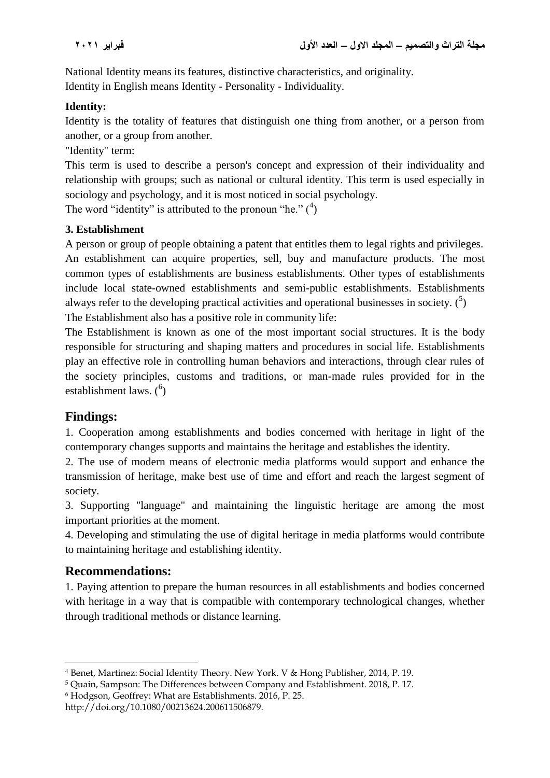National Identity means its features, distinctive characteristics, and originality. Identity in English means Identity - Personality - Individuality.

#### **Identity:**

Identity is the totality of features that distinguish one thing from another, or a person from another, or a group from another.

"Identity" term:

This term is used to describe a person's concept and expression of their individuality and relationship with groups; such as national or cultural identity. This term is used especially in sociology and psychology, and it is most noticed in social psychology.

The word "identity" is attributed to the pronoun "he."  $(4)$ 

#### **3. Establishment**

A person or group of people obtaining a patent that entitles them to legal rights and privileges. An establishment can acquire properties, sell, buy and manufacture products. The most common types of establishments are business establishments. Other types of establishments include local state-owned establishments and semi-public establishments. Establishments always refer to the developing practical activities and operational businesses in society.  $(5)$ The Establishment also has a positive role in community life:

The Establishment is known as one of the most important social structures. It is the body responsible for structuring and shaping matters and procedures in social life. Establishments play an effective role in controlling human behaviors and interactions, through clear rules of the society principles, customs and traditions, or man-made rules provided for in the establishment laws.  $\binom{6}{1}$ 

# **Findings:**

1. Cooperation among establishments and bodies concerned with heritage in light of the contemporary changes supports and maintains the heritage and establishes the identity.

2. The use of modern means of electronic media platforms would support and enhance the transmission of heritage, make best use of time and effort and reach the largest segment of society.

3. Supporting "language" and maintaining the linguistic heritage are among the most important priorities at the moment.

4. Developing and stimulating the use of digital heritage in media platforms would contribute to maintaining heritage and establishing identity.

### **Recommendations:**

 $\overline{\phantom{a}}$ 

1. Paying attention to prepare the human resources in all establishments and bodies concerned with heritage in a way that is compatible with contemporary technological changes, whether through traditional methods or distance learning.

<sup>4</sup> Benet, Martinez: Social Identity Theory. New York. V & Hong Publisher, 2014, P. 19.

<sup>5</sup> Quain, Sampson: The Differences between Company and Establishment. 2018, P. 17.

<sup>6</sup> Hodgson, Geoffrey: What are Establishments. 2016, P. 25.

http://doi.org/10.1080/00213624.200611506879.